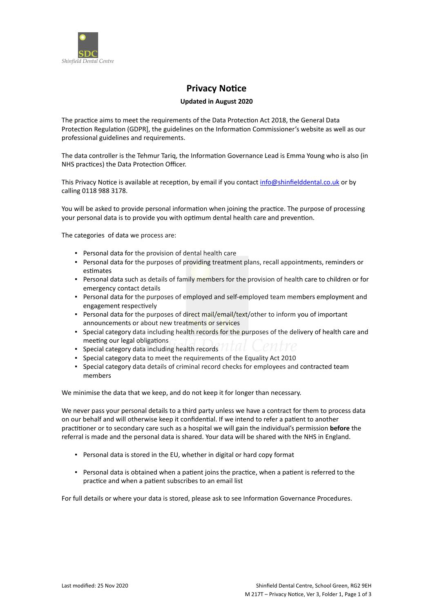

## **Privacy Notice**

## **Updated in August 2020**

The practice aims to meet the requirements of the Data Protection Act 2018, the General Data Protection Regulation (GDPR], the guidelines on the Information Commissioner's website as well as our professional guidelines and requirements.

The data controller is the Tehmur Tariq, the Information Governance Lead is Emma Young who is also (in NHS practices) the Data Protection Officer.

This Privacy Notice is available at reception, by email if you contact [info@shinfielddental.co.uk](mailto:info@shinfielddental.co.uk) or by calling 0118 988 3178.

You will be asked to provide personal information when joining the practice. The purpose of processing your personal data is to provide you with optimum dental health care and prevention.

The categories of data we process are:

- Personal data for the provision of dental health care
- Personal data for the purposes of providing treatment plans, recall appointments, reminders or estimates
- Personal data such as details of family members for the provision of health care to children or for emergency contact details
- Personal data for the purposes of employed and self-employed team members employment and engagement respectively
- Personal data for the purposes of direct mail/email/text/other to inform you of important announcements or about new treatments or services
- **•** Special category data including health records for the purposes of the delivery of health care and meeting our legal obligations
- Special category data including health records
- Special category data to meet the requirements of the Equality Act 2010
- Special category data details of criminal record checks for employees and contracted team members

We minimise the data that we keep, and do not keep it for longer than necessary.

We never pass your personal details to a third party unless we have a contract for them to process data on our behalf and will otherwise keep it confidential. If we intend to refer a patient to another practitioner or to secondary care such as a hospital we will gain the individual's permission **before** the referral is made and the personal data is shared. Your data will be shared with the NHS in England.

- Personal data is stored in the EU, whether in digital or hard copy format
- Personal data is obtained when a patient joins the practice, when a patient is referred to the practice and when a patient subscribes to an email list

For full details or where your data is stored, please ask to see Information Governance Procedures.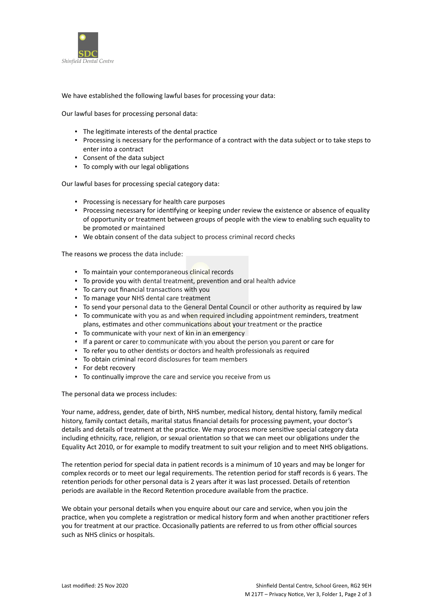

We have established the following lawful bases for processing your data:

Our lawful bases for processing personal data:

- The legitimate interests of the dental practice
- Processing is necessary for the performance of a contract with the data subject or to take steps to enter into a contract
- Consent of the data subject
- To comply with our legal obligations

Our lawful bases for processing special category data:

- Processing is necessary for health care purposes
- Processing necessary for identifying or keeping under review the existence or absence of equality of opportunity or treatment between groups of people with the view to enabling such equality to be promoted or maintained
- We obtain consent of the data subject to process criminal record checks

The reasons we process the data include:

- **To maintain your contemporaneous clinical records**
- To provide you with dental treatment, prevention and oral health advice
- To carry out financial transactions with you
- To manage your NHS dental care treatment
- To send your personal data to the General Dental Council or other authority as required by law
- To communicate with you as and when required including appointment reminders, treatment plans, estimates and other communications about your treatment or the practice
- **To communicate with your next of kin in an emergency**
- If a parent or carer to communicate with you about the person you parent or care for
- To refer you to other dentists or doctors and health professionals as required
- To obtain criminal record disclosures for team members
- For debt recovery
- To continually improve the care and service you receive from us

The personal data we process includes:

Your name, address, gender, date of birth, NHS number, medical history, dental history, family medical history, family contact details, marital status financial details for processing payment, your doctor's details and details of treatment at the practice. We may process more sensitive special category data including ethnicity, race, religion, or sexual orientation so that we can meet our obligations under the Equality Act 2010, or for example to modify treatment to suit your religion and to meet NHS obligations.

The retention period for special data in patient records is a minimum of 10 years and may be longer for complex records or to meet our legal requirements. The retention period for staff records is 6 years. The retention periods for other personal data is 2 years after it was last processed. Details of retention periods are available in the Record Retention procedure available from the practice.

We obtain your personal details when you enquire about our care and service, when you join the practice, when you complete a registration or medical history form and when another practitioner refers you for treatment at our practice. Occasionally patients are referred to us from other official sources such as NHS clinics or hospitals.